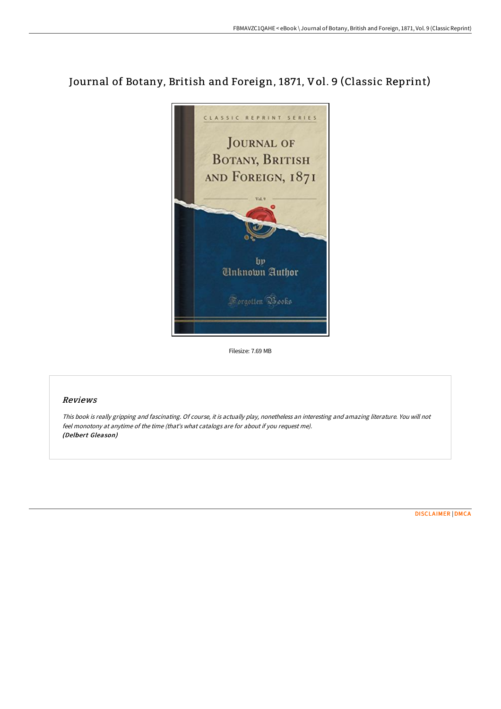## Journal of Botany, British and Foreign, 1871, Vol. 9 (Classic Reprint)



Filesize: 7.69 MB

## Reviews

This book is really gripping and fascinating. Of course, it is actually play, nonetheless an interesting and amazing literature. You will not feel monotony at anytime of the time (that's what catalogs are for about if you request me). (Delbert Gleason)

[DISCLAIMER](http://albedo.media/disclaimer.html) | [DMCA](http://albedo.media/dmca.html)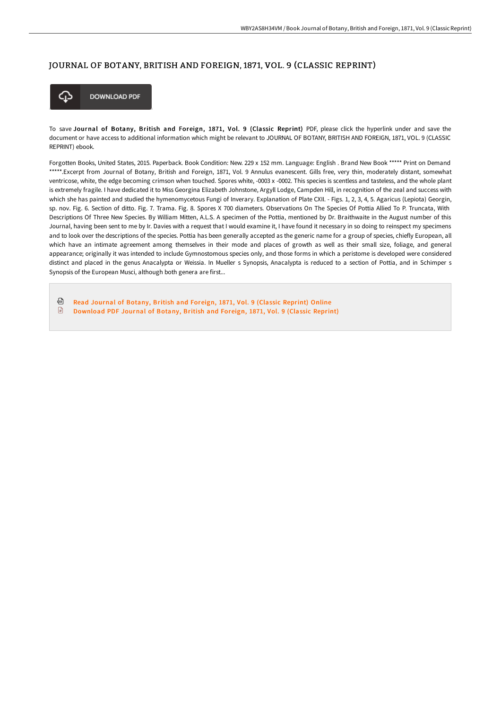## JOURNAL OF BOTANY, BRITISH AND FOREIGN, 187 1, VOL. 9 (CLASSIC REPRINT)



To save Journal of Botany, British and Foreign, 1871, Vol. 9 (Classic Reprint) PDF, please click the hyperlink under and save the document or have access to additional information which might be relevant to JOURNAL OF BOTANY, BRITISH AND FOREIGN, 1871, VOL. 9 (CLASSIC REPRINT) ebook.

Forgotten Books, United States, 2015. Paperback. Book Condition: New. 229 x 152 mm. Language: English . Brand New Book \*\*\*\*\* Print on Demand \*\*\*\*\*.Excerpt from Journal of Botany, British and Foreign, 1871, Vol. 9 Annulus evanescent. Gills free, very thin, moderately distant, somewhat ventricose, white, the edge becoming crimson when touched. Spores white, -0003 x -0002. This species is scentless and tasteless, and the whole plant is extremely fragile. I have dedicated it to Miss Georgina Elizabeth Johnstone, Argyll Lodge, Campden Hill, in recognition of the zeal and success with which she has painted and studied the hymenomycetous Fungi of Inverary. Explanation of Plate CXII. - Figs. 1, 2, 3, 4, 5. Agaricus (Lepiota) Georgin, sp. nov. Fig. 6. Section of ditto. Fig. 7. Trama. Fig. 8. Spores X 700 diameters. Observations On The Species Of Pottia Allied To P. Truncata, With Descriptions Of Three New Species. By William Mitten, A.L.S. A specimen of the Pottia, mentioned by Dr. Braithwaite in the August number of this Journal, having been sent to me by Ir. Davies with a request that I would examine it, I have found it necessary in so doing to reinspect my specimens and to look over the descriptions of the species. Pottia has been generally accepted as the generic name for a group of species, chiefly European, all which have an intimate agreement among themselves in their mode and places of growth as well as their small size, foliage, and general appearance; originally it was intended to include Gymnostomous species only, and those forms in which a peristome is developed were considered distinct and placed in the genus Anacalypta or Weissia. In Mueller s Synopsis, Anacalypta is reduced to a section of Pottia, and in Schimper s Synopsis of the European Musci, although both genera are first...

⊕ Read Journal of Botany, British and [Foreign,](http://albedo.media/journal-of-botany-british-and-foreign-1871-vol-9.html) 1871, Vol. 9 (Classic Reprint) Online  $\begin{array}{c} \hline \end{array}$ [Download](http://albedo.media/journal-of-botany-british-and-foreign-1871-vol-9.html) PDF Journal of Botany, British and Foreign, 1871, Vol. 9 (Classic Reprint)